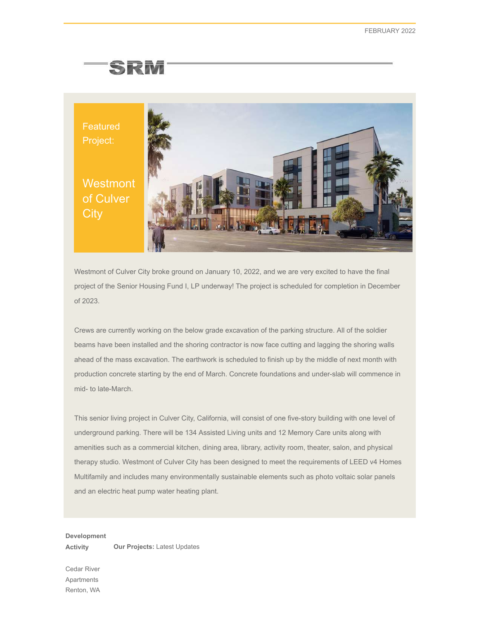## SRM



Westmont of Culver City broke ground on January 10, 2022, and we are very excited to have the final project of the Senior Housing Fund I, LP underway! The project is scheduled for completion in December of 2023.

Crews are currently working on the below grade excavation of the parking structure. All of the soldier beams have been installed and the shoring contractor is now face cutting and lagging the shoring walls ahead of the mass excavation. The earthwork is scheduled to finish up by the middle of next month with production concrete starting by the end of March. Concrete foundations and under-slab will commence in mid- to late-March.

This senior living project in Culver City, California, will consist of one five-story building with one level of underground parking. There will be 134 Assisted Living units and 12 Memory Care units along with amenities such as a commercial kitchen, dining area, library, activity room, theater, salon, and physical therapy studio. Westmont of Culver City has been designed to meet the requirements of LEED v4 Homes Multifamily and includes many environmentally sustainable elements such as photo voltaic solar panels and an electric heat pump water heating plant.

**Development Activity Our Projects:** Latest Updates

Cedar River Apartments Renton, WA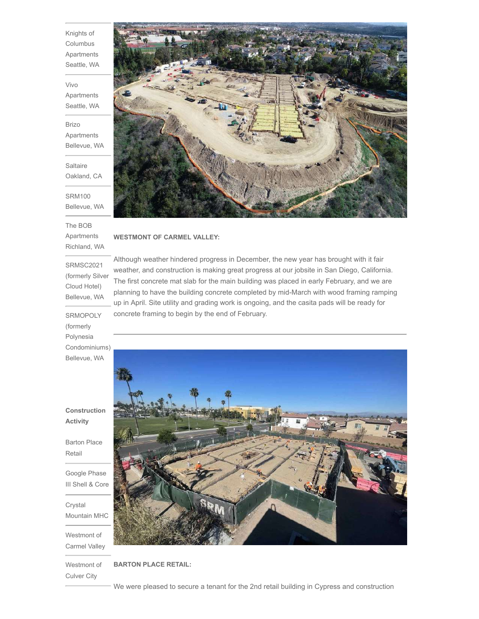Knights of Columbus Apartments Seattle, WA

Vivo Apartments Seattle, WA

Brizo Apartments Bellevue, WA

**Saltaire** Oakland, CA

SRM100 Bellevue, WA

The BOB Apartments Richland, WA

SRMSC2021 (formerly Silver Cloud Hotel) Bellevue, WA

**SRMOPOLY** (formerly Polynesia Condominiums) Bellevue, WA

**Construction Activity**

Barton Place Retail

Google Phase III Shell & Core

Crystal Mountain MHC

Westmont of Carmel Valley

Culver City

## **WESTMONT OF CARMEL VALLEY:**

Although weather hindered progress in December, the new year has brought with it fair weather, and construction is making great progress at our jobsite in San Diego, California. The first concrete mat slab for the main building was placed in early February, and we are planning to have the building concrete completed by mid-March with wood framing ramping up in April. Site utility and grading work is ongoing, and the casita pads will be ready for concrete framing to begin by the end of February.



Westmont of **BARTON PLACE RETAIL:**

We were pleased to secure a tenant for the 2nd retail building in Cypress and construction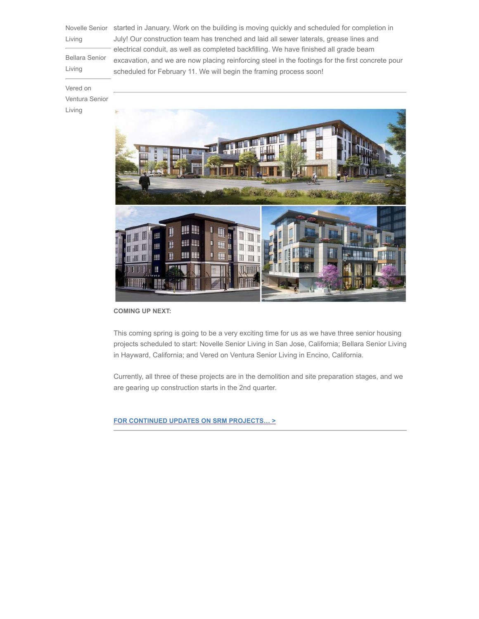Living

Bellara Senior Living

Novelle Senior started in January. Work on the building is moving quickly and scheduled for completion in July! Our construction team has trenched and laid all sewer laterals, grease lines and electrical conduit, as well as completed backfilling. We have finished all grade beam excavation, and we are now placing reinforcing steel in the footings for the first concrete pour scheduled for February 11. We will begin the framing process soon!

## Vered on

Ventura Senior

Living



**COMING UP NEXT:**

This coming spring is going to be a very exciting time for us as we have three senior housing projects scheduled to start: Novelle Senior Living in San Jose, California; Bellara Senior Living in Hayward, California; and Vered on Ventura Senior Living in Encino, California.

Currently, all three of these projects are in the demolition and site preparation stages, and we are gearing up construction starts in the 2nd quarter.

**FOR CONTINUED UPDATES ON SRM PROJECTS… >**